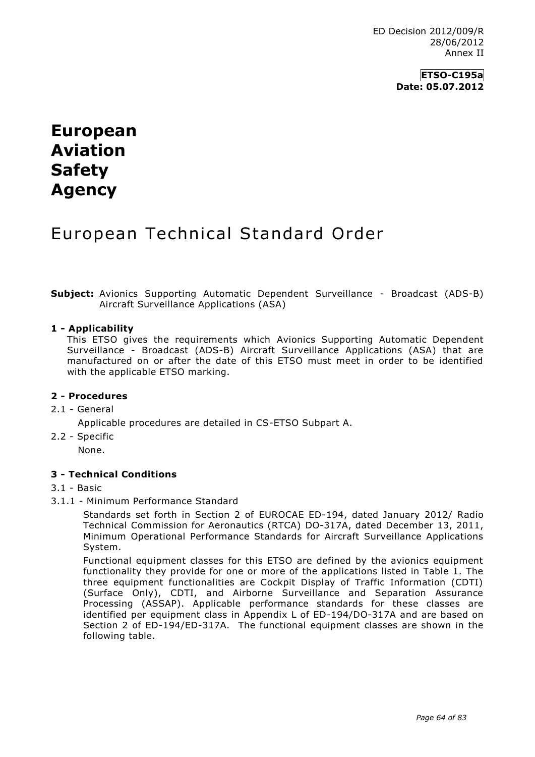## **ETSO-C195a Date: 05.07.2012**

# **European Aviation Safety Agency**

# European Technical Standard Order

**Subject:** Avionics Supporting Automatic Dependent Surveillance - Broadcast (ADS-B) Aircraft Surveillance Applications (ASA)

#### **1 - Applicability**

This ETSO gives the requirements which Avionics Supporting Automatic Dependent Surveillance - Broadcast (ADS-B) Aircraft Surveillance Applications (ASA) that are manufactured on or after the date of this ETSO must meet in order to be identified with the applicable ETSO marking.

#### **2 - Procedures**

- 2.1 General
	- Applicable procedures are detailed in CS-ETSO Subpart A.
- 2.2 Specific
	- None.

## **3 - Technical Conditions**

#### 3.1 - Basic

3.1.1 - Minimum Performance Standard

Standards set forth in Section 2 of EUROCAE ED-194, dated January 2012/ Radio Technical Commission for Aeronautics (RTCA) DO-317A, dated December 13, 2011, Minimum Operational Performance Standards for Aircraft Surveillance Applications System.

Functional equipment classes for this ETSO are defined by the avionics equipment functionality they provide for one or more of the applications listed in Table 1. The three equipment functionalities are Cockpit Display of Traffic Information (CDTI) (Surface Only), CDTI, and Airborne Surveillance and Separation Assurance Processing (ASSAP). Applicable performance standards for these classes are identified per equipment class in Appendix L of ED-194/DO-317A and are based on Section 2 of ED-194/ED-317A. The functional equipment classes are shown in the following table.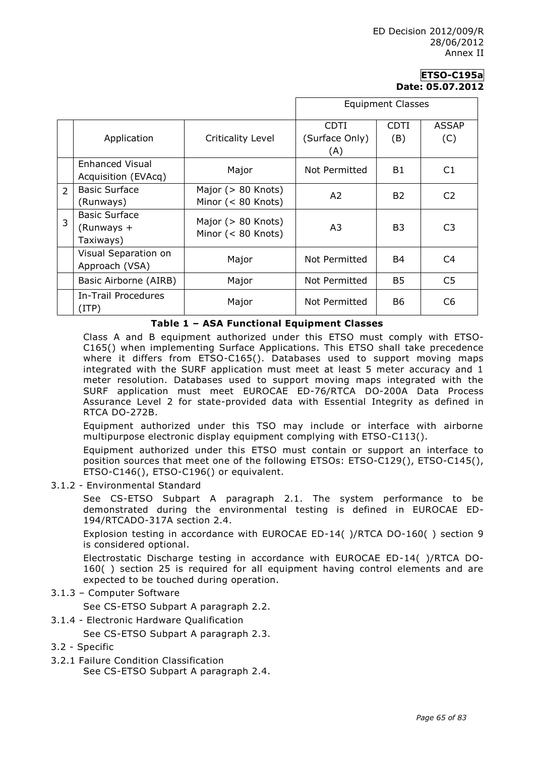# **ETSO-C195a Date: 05.07.2012**

|                |                              |                                               | <b>Equipment Classes</b> |                |                |
|----------------|------------------------------|-----------------------------------------------|--------------------------|----------------|----------------|
|                |                              |                                               | <b>CDTI</b>              | <b>CDTI</b>    | <b>ASSAP</b>   |
|                | Application                  | <b>Criticality Level</b>                      | (Surface Only)           | (B)            | (C)            |
|                |                              |                                               | (A)                      |                |                |
|                | Enhanced Visual              | Major                                         | Not Permitted            | <b>B1</b>      | C1             |
|                | Acquisition (EVAcq)          |                                               |                          |                |                |
| $\overline{2}$ | <b>Basic Surface</b>         | Major (> 80 Knots)<br>Minor (< 80 Knots)      | A2                       | B <sub>2</sub> | C <sub>2</sub> |
|                | (Runways)                    |                                               |                          |                |                |
|                | <b>Basic Surface</b>         | Major ( $> 80$ Knots)<br>Minor $(< 80$ Knots) | A3                       | B <sub>3</sub> | C <sub>3</sub> |
| 3              | (Runways +                   |                                               |                          |                |                |
|                | Taxiways)                    |                                               |                          |                |                |
|                | Visual Separation on         | Major                                         | Not Permitted            | <b>B4</b>      | C4             |
|                | Approach (VSA)               |                                               |                          |                |                |
|                | Basic Airborne (AIRB)        | Major                                         | Not Permitted            | B <sub>5</sub> | C <sub>5</sub> |
|                | In-Trail Procedures<br>(ITP) | Major                                         | Not Permitted            | <b>B6</b>      | C <sub>6</sub> |

#### **Table 1 – ASA Functional Equipment Classes**

Class A and B equipment authorized under this ETSO must comply with ETSO-C165() when implementing Surface Applications. This ETSO shall take precedence where it differs from ETSO-C165(). Databases used to support moving maps integrated with the SURF application must meet at least 5 meter accuracy and 1 meter resolution. Databases used to support moving maps integrated with the SURF application must meet EUROCAE ED-76/RTCA DO-200A Data Process Assurance Level 2 for state-provided data with Essential Integrity as defined in RTCA DO-272B.

Equipment authorized under this TSO may include or interface with airborne multipurpose electronic display equipment complying with ETSO-C113().

Equipment authorized under this ETSO must contain or support an interface to position sources that meet one of the following ETSOs: ETSO-C129(), ETSO-C145(), ETSO-C146(), ETSO-C196() or equivalent.

#### 3.1.2 - Environmental Standard

See CS-ETSO Subpart A paragraph 2.1. The system performance to be demonstrated during the environmental testing is defined in EUROCAE ED-194/RTCADO-317A section 2.4.

Explosion testing in accordance with EUROCAE ED-14( )/RTCA DO-160( ) section 9 is considered optional.

Electrostatic Discharge testing in accordance with EUROCAE ED-14( )/RTCA DO-160( ) section 25 is required for all equipment having control elements and are expected to be touched during operation.

#### 3.1.3 – Computer Software

See CS-ETSO Subpart A paragraph 2.2.

3.1.4 - Electronic Hardware Qualification

See CS-ETSO Subpart A paragraph 2.3.

- 3.2 Specific
- 3.2.1 Failure Condition Classification

See CS-ETSO Subpart A paragraph 2.4.